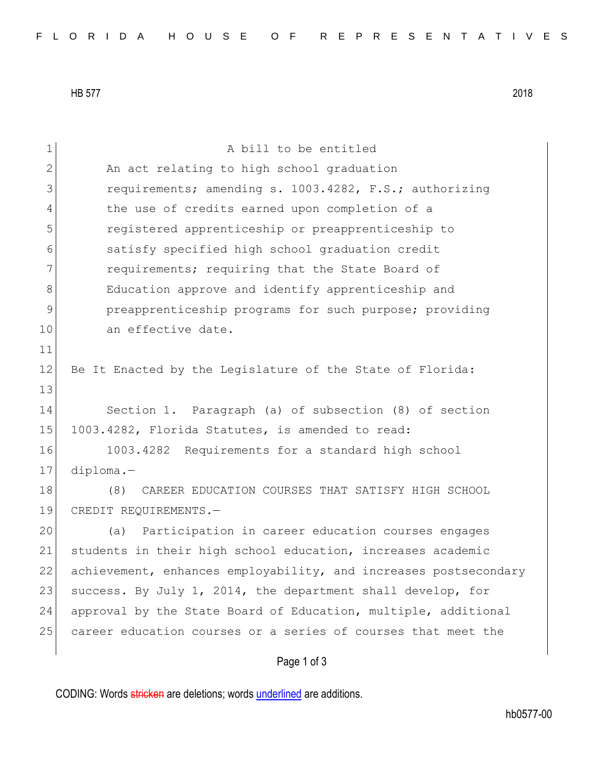HB 577 2018

| $\mathbf 1$  | A bill to be entitled                                            |  |  |  |  |  |
|--------------|------------------------------------------------------------------|--|--|--|--|--|
| $\mathbf{2}$ | An act relating to high school graduation                        |  |  |  |  |  |
| 3            | requirements; amending s. 1003.4282, F.S.; authorizing           |  |  |  |  |  |
| 4            | the use of credits earned upon completion of a                   |  |  |  |  |  |
| 5            | registered apprenticeship or preapprenticeship to                |  |  |  |  |  |
| 6            | satisfy specified high school graduation credit                  |  |  |  |  |  |
| 7            | requirements; requiring that the State Board of                  |  |  |  |  |  |
| 8            | Education approve and identify apprenticeship and                |  |  |  |  |  |
| 9            | preapprenticeship programs for such purpose; providing           |  |  |  |  |  |
| 10           | an effective date.                                               |  |  |  |  |  |
| 11           |                                                                  |  |  |  |  |  |
| 12           | Be It Enacted by the Legislature of the State of Florida:        |  |  |  |  |  |
| 13           |                                                                  |  |  |  |  |  |
| 14           | Section 1. Paragraph (a) of subsection (8) of section            |  |  |  |  |  |
| 15           | 1003.4282, Florida Statutes, is amended to read:                 |  |  |  |  |  |
| 16           | 1003.4282 Requirements for a standard high school                |  |  |  |  |  |
| 17           | diploma.-                                                        |  |  |  |  |  |
| 18           | CAREER EDUCATION COURSES THAT SATISFY HIGH SCHOOL<br>(8)         |  |  |  |  |  |
| 19           | CREDIT REQUIREMENTS.-                                            |  |  |  |  |  |
| 20           | Participation in career education courses engages<br>(a)         |  |  |  |  |  |
| 21           | students in their high school education, increases academic      |  |  |  |  |  |
| 22           | achievement, enhances employability, and increases postsecondary |  |  |  |  |  |
| 23           | success. By July 1, 2014, the department shall develop, for      |  |  |  |  |  |
| 24           | approval by the State Board of Education, multiple, additional   |  |  |  |  |  |
| 25           | career education courses or a series of courses that meet the    |  |  |  |  |  |
|              | Page 1 of 3                                                      |  |  |  |  |  |

CODING: Words stricken are deletions; words underlined are additions.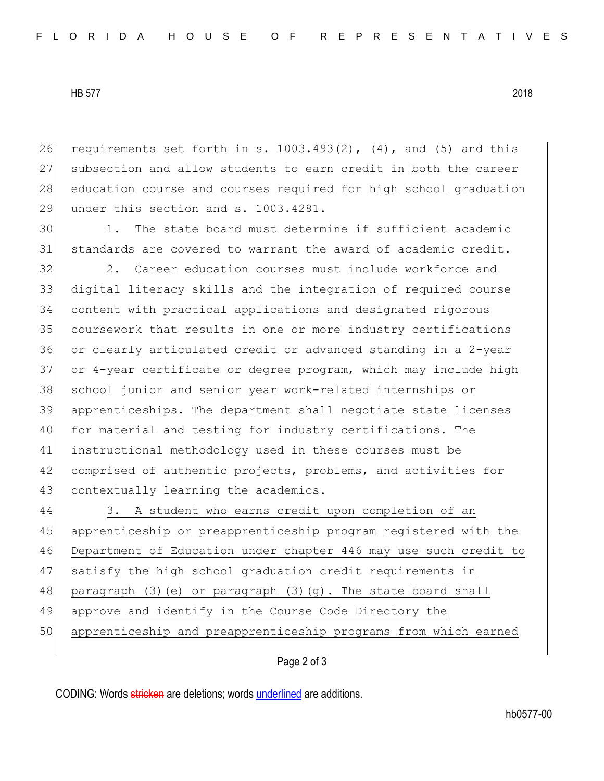HB 577 2018

26 requirements set forth in s.  $1003.493(2)$ ,  $(4)$ , and  $(5)$  and this 27 subsection and allow students to earn credit in both the career 28 education course and courses required for high school graduation 29 under this section and s. 1003.4281.

30 1. The state board must determine if sufficient academic 31 standards are covered to warrant the award of academic credit.

32 2. Career education courses must include workforce and digital literacy skills and the integration of required course content with practical applications and designated rigorous coursework that results in one or more industry certifications or clearly articulated credit or advanced standing in a 2-year or 4-year certificate or degree program, which may include high 38 school junior and senior year work-related internships or apprenticeships. The department shall negotiate state licenses for material and testing for industry certifications. The instructional methodology used in these courses must be comprised of authentic projects, problems, and activities for 43 contextually learning the academics.

 3. A student who earns credit upon completion of an apprenticeship or preapprenticeship program registered with the Department of Education under chapter 446 may use such credit to satisfy the high school graduation credit requirements in 48 paragraph (3)(e) or paragraph (3)(g). The state board shall approve and identify in the Course Code Directory the apprenticeship and preapprenticeship programs from which earned

## Page 2 of 3

CODING: Words stricken are deletions; words underlined are additions.